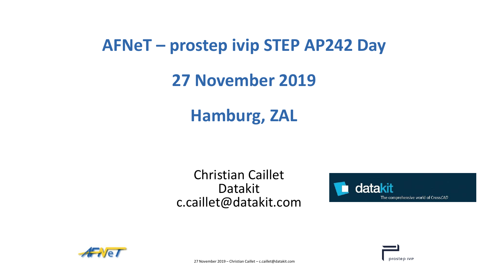## **AFNeT – prostep ivip STEP AP242 Day**

## **27 November 2019**

# **Hamburg, ZAL**

## Christian Caillet Datakit c.caillet@datakit.com





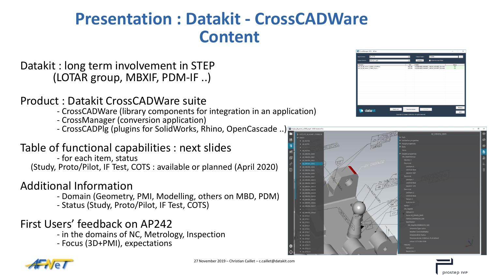## **Presentation : Datakit - CrossCADWare Content**

### Datakit : long term involvement in STEP (LOTAR group, MBXIF, PDM-IF ..)

#### Product : Datakit CrossCADWare suite

- CrossCADWare (library components for integration in an application)
- CrossManager (conversion application)
- CrossCADPlg (plugins for SolidWorks, Rhino, OpenCascade ..)

### Table of functional capabilities : next slides

- for each item, status (Study, Proto/Pilot, IF Test, COTS : available or planned (April 2020)

### Additional Information

- Domain (Geometry, PMI, Modelling, others on MBD, PDM)
- Status (Study, Proto/Pilot, IF Test, COTS)

### First Users' feedback on AP242

- in the domains of NC, Metrology, Inspection
- Focus (3D+PMI), expectations





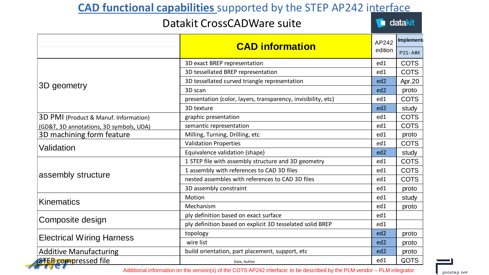## **CAD functional capabilities** supported by the STEP AP242 interface

#### Datakit CrossCADWare suite

datakit

|                                         | <b>CAD information</b>                                        | AP242           | Implement      |  |
|-----------------------------------------|---------------------------------------------------------------|-----------------|----------------|--|
|                                         |                                                               | edition         | <b>P21-AIM</b> |  |
| 3D geometry                             | 3D exact BREP representation                                  | ed1             | <b>COTS</b>    |  |
|                                         | 3D tessellated BREP representation                            | ed1             | <b>COTS</b>    |  |
|                                         | 3D tessellated curved triangle representation                 | ed <sub>2</sub> | Apr.20         |  |
|                                         | 3D scan                                                       | ed <sub>2</sub> | proto          |  |
|                                         | presentation (color, layers, transparency, invisibility, etc) | ed1             | <b>COTS</b>    |  |
|                                         | 3D texture                                                    | ed <sub>2</sub> | study          |  |
| 3D PMI (Product & Manuf. Information)   | graphic presentation                                          | ed1             | <b>COTS</b>    |  |
| (GD&T, 3D annotations, 3D symbols, UDA) | semantic representation                                       | ed1             | <b>COTS</b>    |  |
| 3D machining form feature               | Milling, Turning, Drilling, etc                               | ed1             | proto          |  |
| Validation                              | <b>Validation Properties</b>                                  | ed1             | <b>COTS</b>    |  |
|                                         | Equivalence validation (shape)                                | ed <sub>2</sub> | study          |  |
| assembly structure                      | 1 STEP file with assembly structure and 3D geometry           | ed1             | <b>COTS</b>    |  |
|                                         | 1 assembly with references to CAD 3D files                    | ed1             | <b>COTS</b>    |  |
|                                         | nested assembles with references to CAD 3D files              | ed1             | <b>COTS</b>    |  |
|                                         | 3D assembly constraint                                        | ed1             | proto          |  |
| Kinematics                              | Motion                                                        | ed1             | study          |  |
|                                         | Mechanism                                                     | ed1             | proto          |  |
| Composite design                        | ply definition based on exact surface                         | ed1             |                |  |
|                                         | ply definition based on explicit 3D tesselated solid BREP     | ed1             |                |  |
| <b>Electrical Wiring Harness</b>        | topology                                                      | ed <sub>2</sub> | proto          |  |
|                                         | wire list                                                     | ed <sub>2</sub> | proto          |  |
| <b>Additive Manufacturing</b>           | build orientation, part placement, support, etc               | ed <sub>2</sub> | proto          |  |
| <b>STEP</b> compressed file             | Date, Author                                                  | ed1             | <b>GOTS</b>    |  |

Additional information on the version(s) of the COTS AP242 interface: to be described by the PLM vendor – PLM integrator

prostep IVIP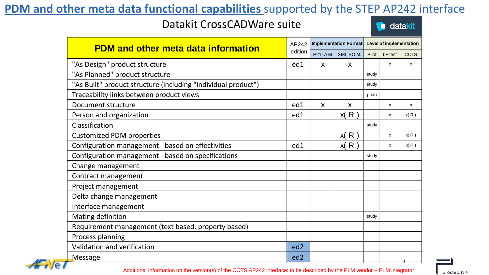## **PDM and other meta data functional capabilities** supported by the STEP AP242 interface

#### Datakit CrossCADWare suite



| <b>PDM and other meta data information</b>                    |                 |              |                  | Implementation Format   Level of implementation |                |             |
|---------------------------------------------------------------|-----------------|--------------|------------------|-------------------------------------------------|----------------|-------------|
|                                                               |                 |              | P21-AIM XML BOM. |                                                 | Pilot I-F test | <b>COTS</b> |
| "As Design" product structure                                 | ed1             | $\mathsf{x}$ | X                |                                                 | $\mathsf{x}$   | X           |
| "As Planned" product structure                                |                 |              |                  | study                                           |                |             |
| "As Built" product structure (including "individual product") |                 |              |                  | study                                           |                |             |
| Traceability links between product views                      |                 |              |                  | proto                                           |                |             |
| Document structure                                            | ed1             | X            | X                |                                                 | X              | X           |
| Person and organization                                       | ed1             |              | x(R)             |                                                 | X              | x(R)        |
| Classification                                                |                 |              |                  | study                                           |                |             |
| <b>Customized PDM properties</b>                              |                 |              | x(R)             |                                                 | X              | x(R)        |
| Configuration management - based on effectivities             | ed1             |              | x(R)             |                                                 | X              | x(R)        |
| Configuration management - based on specifications            |                 |              |                  | study                                           |                |             |
| Change management                                             |                 |              |                  |                                                 |                |             |
| Contract management                                           |                 |              |                  |                                                 |                |             |
| Project management                                            |                 |              |                  |                                                 |                |             |
| Delta change management                                       |                 |              |                  |                                                 |                |             |
| Interface management                                          |                 |              |                  |                                                 |                |             |
| Mating definition                                             |                 |              |                  | study                                           |                |             |
| Requirement management (text based, property based)           |                 |              |                  |                                                 |                |             |
| Process planning                                              |                 |              |                  |                                                 |                |             |
| Validation and verification                                   | ed <sub>2</sub> |              |                  |                                                 |                |             |
| Message                                                       | ed <sub>2</sub> |              |                  |                                                 |                |             |

prostep IVIP

Additional information on the version(s) of the COTS AP242 interface: to be described by the PLM vendor – PLM integrator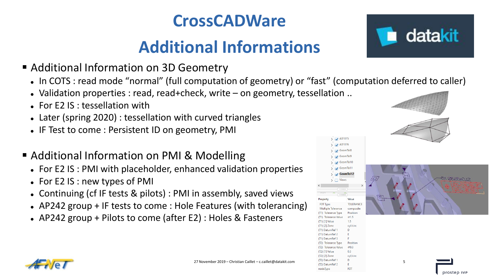# **CrossCADWare**

# **Additional Informations**

- Additional Information on 3D Geometry
	- In COTS : read mode "normal" (full computation of geometry) or "fast" (computation deferred to caller)
	- Validation properties : read, read+check, write on geometry, tessellation ..
	- For E2 IS : tessellation with
	- Later (spring 2020) : tessellation with curved triangles
	- IF Test to come : Persistent ID on geometry, PMI
- Additional Information on PMI & Modelling
	- For E2 IS : PMI with placeholder, enhanced validation properties
	- For E2 IS : new types of PMI
	- Continuing (cf IF tests & pilots) : PMI in assembly, saved views
	- AP242 group + IF tests to come : Hole Features (with tolerancing)
	- AP242 group + Pilots to come (after E2) : Holes & Fasteners







 $>$  - $\blacksquare$  AD1075  $\rightarrow$   $\rightarrow$  AD1076  $\rightarrow$  - $\rightarrow$  GeomTol8  $\frac{1}{2}$  GeomTol9  $\rightarrow$   $\rightarrow$  GeomTol10  $\sum$  GeomTol11  $\rightarrow$  GeomTol12  $\overline{\phantom{a}}$   $\overline{\phantom{a}}$  Views

**TOLERANCE** 

compositi

Position  $\varnothing$ 1.5

cyl/circ

Position

 $003$  $0.3$ 

 $1.5<sub>1</sub>$ 

Property

Multiple Tolerance

(T1) Tolerance Type

(T1) Tolerance Value

(T2) Tolerance Value

(T2) [1] Value (T2) [2] Zon

nodeTvpe

(T1) [1] Value (T1) [2] Zone

(T1) DatumRef (T1) DatumRef 2 (T1) DatumRef datakit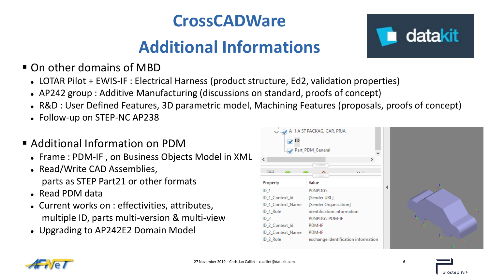# **CrossCADWare**

# **Additional Informations**

- On other domains of MBD
	- LOTAR Pilot + EWIS-IF : Electrical Harness (product structure, Ed2, validation properties)
	- AP242 group : Additive Manufacturing (discussions on standard, proofs of concept)
	- R&D : User Defined Features, 3D parametric model, Machining Features (proposals, proofs of concept)
	- Follow-up on STEP-NC AP238
- **Additional Information on PDM** 
	- Frame : PDM-IF , on Business Objects Model in XML
	- Read/Write CAD Assemblies, parts as STEP Part21 or other formats
	- Read PDM data
	- Current works on : effectivities, attributes, multiple ID, parts multi-version & multi-view
	- Upgrading to AP242E2 Domain Model







datakit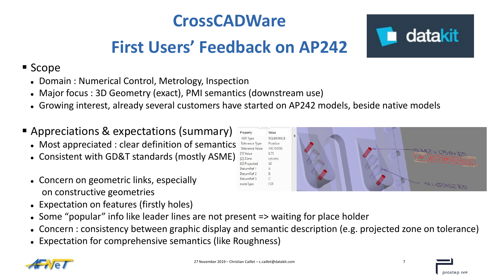# **CrossCADWare**

# **First Users' Feedback on AP242**

## **Scope**

- Domain : Numerical Control, Metrology, Inspection
- Major focus : 3D Geometry (exact), PMI semantics (downstream use)
- Growing interest, already several customers have started on AP242 models, beside native models
- Appreciations & expectations (summary)
	- Most appreciated : clear definition of semantics
	- Consistent with GD&T standards (mostly ASME)
	- Concern on geometric links, especially on constructive geometries
	- Expectation on features (firstly holes)
	- Some "popular" info like leader lines are not present => waiting for place holder
	- Concern : consistency between graphic display and semantic description (e.g. projected zone on tolerance)
	- Expectation for comprehensive semantics (like Roughness)



datakit